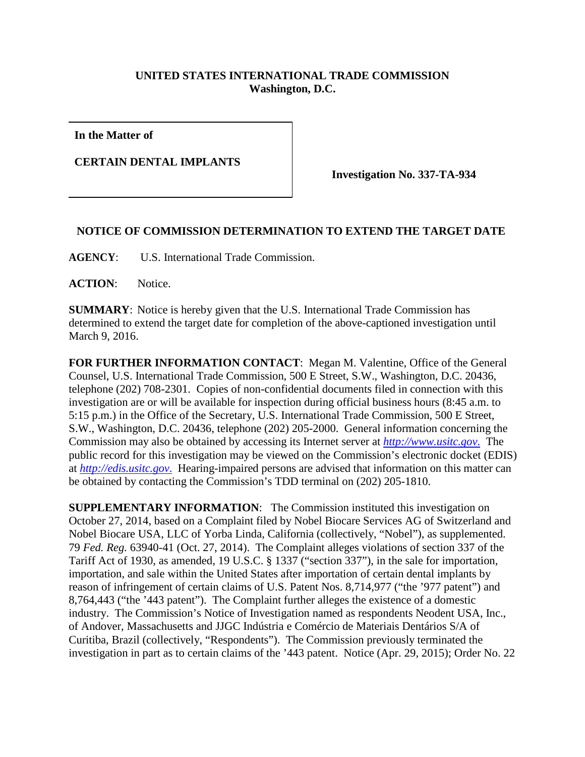## **UNITED STATES INTERNATIONAL TRADE COMMISSION Washington, D.C.**

**In the Matter of**

**CERTAIN DENTAL IMPLANTS**

**Investigation No. 337-TA-934**

## **NOTICE OF COMMISSION DETERMINATION TO EXTEND THE TARGET DATE**

**AGENCY**: U.S. International Trade Commission.

**ACTION**: Notice.

**SUMMARY**: Notice is hereby given that the U.S. International Trade Commission has determined to extend the target date for completion of the above-captioned investigation until March 9, 2016.

**FOR FURTHER INFORMATION CONTACT**: Megan M. Valentine, Office of the General Counsel, U.S. International Trade Commission, 500 E Street, S.W., Washington, D.C. 20436, telephone (202) 708-2301. Copies of non-confidential documents filed in connection with this investigation are or will be available for inspection during official business hours (8:45 a.m. to 5:15 p.m.) in the Office of the Secretary, U.S. International Trade Commission, 500 E Street, S.W., Washington, D.C. 20436, telephone (202) 205-2000. General information concerning the Commission may also be obtained by accessing its Internet server at *[http://www.usitc.gov](http://www.usitc.gov./)*. The public record for this investigation may be viewed on the Commission's electronic docket (EDIS) at *[http://edis.usitc.gov](http://edis.usitc.gov./)*. Hearing-impaired persons are advised that information on this matter can be obtained by contacting the Commission's TDD terminal on (202) 205-1810.

**SUPPLEMENTARY INFORMATION:** The Commission instituted this investigation on October 27, 2014, based on a Complaint filed by Nobel Biocare Services AG of Switzerland and Nobel Biocare USA, LLC of Yorba Linda, California (collectively, "Nobel"), as supplemented. 79 *Fed. Reg.* 63940-41 (Oct. 27, 2014). The Complaint alleges violations of section 337 of the Tariff Act of 1930, as amended, 19 U.S.C. § 1337 ("section 337"), in the sale for importation, importation, and sale within the United States after importation of certain dental implants by reason of infringement of certain claims of U.S. Patent Nos. 8,714,977 ("the '977 patent") and 8,764,443 ("the '443 patent"). The Complaint further alleges the existence of a domestic industry. The Commission's Notice of Investigation named as respondents Neodent USA, Inc., of Andover, Massachusetts and JJGC Indústria e Comércio de Materiais Dentários S/A of Curitiba, Brazil (collectively, "Respondents"). The Commission previously terminated the investigation in part as to certain claims of the '443 patent. Notice (Apr. 29, 2015); Order No. 22